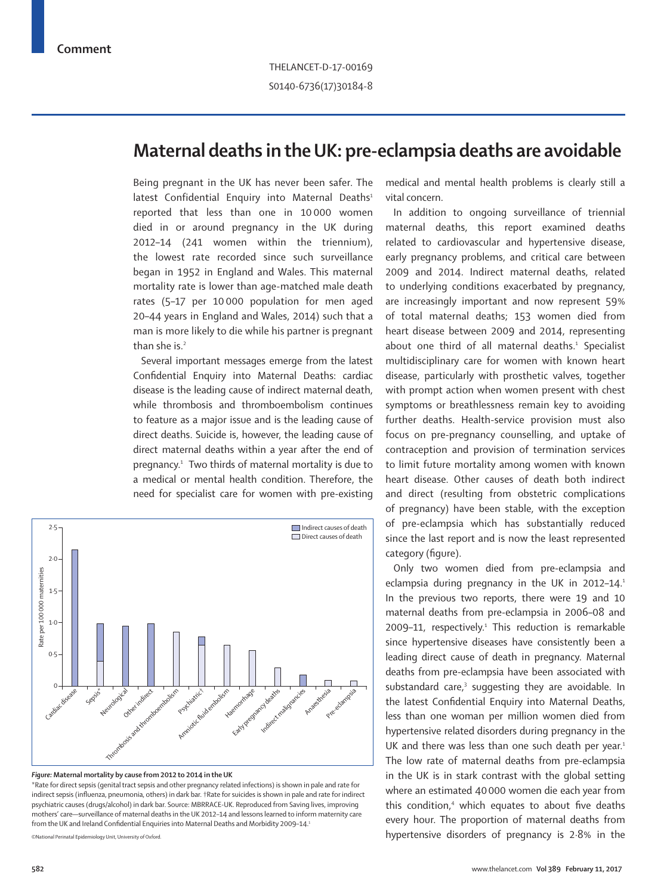## **Maternal deaths in the UK: pre-eclampsia deaths are avoidable**

Being pregnant in the UK has never been safer. The latest Confidential Enquiry into Maternal Deaths<sup>1</sup> reported that less than one in 10 000 women died in or around pregnancy in the UK during 2012–14 (241 women within the triennium), the lowest rate recorded since such surveillance began in 1952 in England and Wales. This maternal mortality rate is lower than age-matched male death rates (5–17 per 10 000 population for men aged 20–44 years in England and Wales, 2014) such that a man is more likely to die while his partner is pregnant than she is. $2$ 

Several important messages emerge from the latest Confidential Enquiry into Maternal Deaths: cardiac disease is the leading cause of indirect maternal death, while thrombosis and thromboembolism continues to feature as a major issue and is the leading cause of direct deaths. Suicide is, however, the leading cause of direct maternal deaths within a year after the end of pregnancy.<sup>1</sup> Two thirds of maternal mortality is due to a medical or mental health condition. Therefore, the need for specialist care for women with pre-existing



## *Figure:* **Maternal mortality by cause from 2012 to 2014 in the UK**

\*Rate for direct sepsis (genital tract sepsis and other pregnancy related infections) is shown in pale and rate for indirect sepsis (influenza, pneumonia, others) in dark bar. †Rate for suicides is shown in pale and rate for indirect psychiatric causes (drugs/alcohol) in dark bar. Source: MBRRACE-UK. Reproduced from Saving lives, improving mothers' care—surveillance of maternal deaths in the UK 2012–14 and lessons learned to inform maternity care from the UK and Ireland Confidential Enquiries into Maternal Deaths and Morbidity 2009–14.1

©National Perinatal Epidemiology Unit, University of Oxford.

medical and mental health problems is clearly still a vital concern.

In addition to ongoing surveillance of triennial maternal deaths, this report examined deaths related to cardiovascular and hypertensive disease, early pregnancy problems, and critical care between 2009 and 2014. Indirect maternal deaths, related to underlying conditions exacerbated by pregnancy, are increasingly important and now represent 59% of total maternal deaths; 153 women died from heart disease between 2009 and 2014, representing about one third of all maternal deaths.<sup>1</sup> Specialist multidisciplinary care for women with known heart disease, particularly with prosthetic valves, together with prompt action when women present with chest symptoms or breathlessness remain key to avoiding further deaths. Health-service provision must also focus on pre-pregnancy counselling, and uptake of contraception and provision of termination services to limit future mortality among women with known heart disease. Other causes of death both indirect and direct (resulting from obstetric complications of pregnancy) have been stable, with the exception of pre-eclampsia which has substantially reduced since the last report and is now the least represented category (figure).

Only two women died from pre-eclampsia and eclampsia during pregnancy in the UK in 2012-14.<sup>1</sup> In the previous two reports, there were 19 and 10 maternal deaths from pre-eclampsia in 2006–08 and 2009-11, respectively.<sup>1</sup> This reduction is remarkable since hypertensive diseases have consistently been a leading direct cause of death in pregnancy. Maternal deaths from pre-eclampsia have been associated with substandard care,<sup>3</sup> suggesting they are avoidable. In the latest Confidential Enquiry into Maternal Deaths, less than one woman per million women died from hypertensive related disorders during pregnancy in the UK and there was less than one such death per year.<sup>1</sup> The low rate of maternal deaths from pre-eclampsia in the UK is in stark contrast with the global setting where an estimated 40 000 women die each year from this condition,<sup>4</sup> which equates to about five deaths every hour. The proportion of maternal deaths from hypertensive disorders of pregnancy is 2·8% in the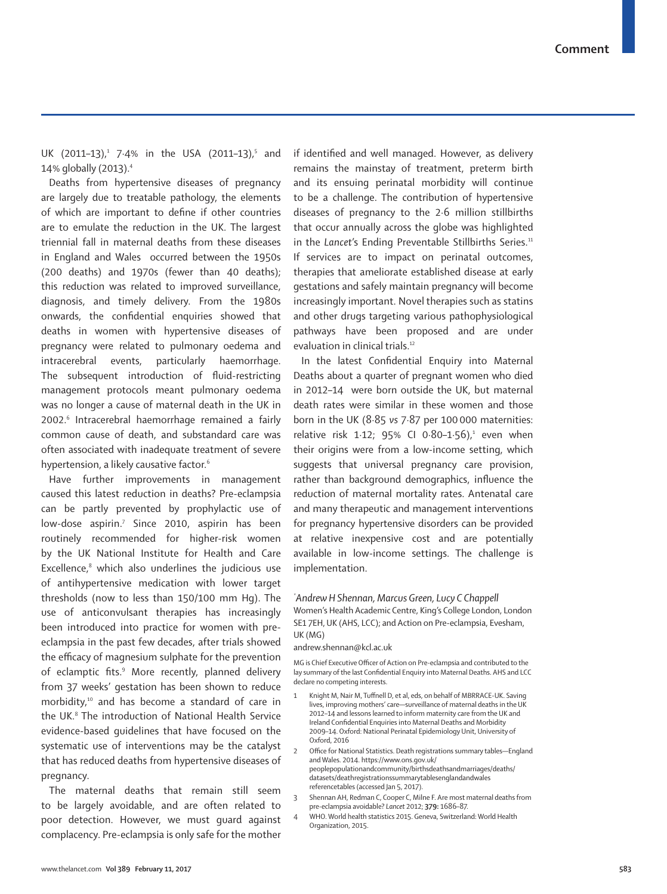UK (2011-13),<sup>1</sup> 7.4% in the USA (2011-13),<sup>5</sup> and 14% globally (2013).4

Deaths from hypertensive diseases of pregnancy are largely due to treatable pathology, the elements of which are important to define if other countries are to emulate the reduction in the UK. The largest triennial fall in maternal deaths from these diseases in England and Wales occurred between the 1950s (200 deaths) and 1970s (fewer than 40 deaths); this reduction was related to improved surveillance, diagnosis, and timely delivery. From the 1980s onwards, the confidential enquiries showed that deaths in women with hypertensive diseases of pregnancy were related to pulmonary oedema and intracerebral events, particularly haemorrhage. The subsequent introduction of fluid-restricting management protocols meant pulmonary oedema was no longer a cause of maternal death in the UK in 2002.<sup>6</sup> Intracerebral haemorrhage remained a fairly common cause of death, and substandard care was often associated with inadequate treatment of severe hypertension, a likely causative factor.<sup>6</sup>

Have further improvements in management caused this latest reduction in deaths? Pre-eclampsia can be partly prevented by prophylactic use of low-dose aspirin.7 Since 2010, aspirin has been routinely recommended for higher-risk women by the UK National Institute for Health and Care Excellence,<sup>8</sup> which also underlines the judicious use of antihypertensive medication with lower target thresholds (now to less than 150/100 mm Hg). The use of anticonvulsant therapies has increasingly been introduced into practice for women with preeclampsia in the past few decades, after trials showed the efficacy of magnesium sulphate for the prevention of eclamptic fits.<sup>9</sup> More recently, planned delivery from 37 weeks' gestation has been shown to reduce morbidity,10 and has become a standard of care in the UK.<sup>8</sup> The introduction of National Health Service evidence-based guidelines that have focused on the systematic use of interventions may be the catalyst that has reduced deaths from hypertensive diseases of pregnancy.

The maternal deaths that remain still seem to be largely avoidable, and are often related to poor detection. However, we must guard against complacency. Pre-eclampsia is only safe for the mother if identified and well managed. However, as delivery remains the mainstay of treatment, preterm birth and its ensuing perinatal morbidity will continue to be a challenge. The contribution of hypertensive diseases of pregnancy to the 2·6 million stillbirths that occur annually across the globe was highlighted in the *Lancet's* Ending Preventable Stillbirths Series.<sup>11</sup> If services are to impact on perinatal outcomes, therapies that ameliorate established disease at early gestations and safely maintain pregnancy will become increasingly important. Novel therapies such as statins and other drugs targeting various pathophysiological pathways have been proposed and are under evaluation in clinical trials.<sup>12</sup>

In the latest Confidential Enquiry into Maternal Deaths about a quarter of pregnant women who died in 2012–14 were born outside the UK, but maternal death rates were similar in these women and those born in the UK (8·85 *vs* 7·87 per 100 000 maternities: relative risk 1 $\cdot$ 12; 95% CI 0 $\cdot$ 80-1 $\cdot$ 56),<sup>1</sup> even when their origins were from a low-income setting, which suggests that universal pregnancy care provision, rather than background demographics, influence the reduction of maternal mortality rates. Antenatal care and many therapeutic and management interventions for pregnancy hypertensive disorders can be provided at relative inexpensive cost and are potentially available in low-income settings. The challenge is implementation.

## *\* Andrew H Shennan, Marcus Green, Lucy C Chappell*

Women's Health Academic Centre, King's College London, London SE1 7EH, UK (AHS, LCC); and Action on Pre-eclampsia, Evesham, UK (MG)

## andrew.shennan@kcl.ac.uk

MG is Chief Executive Officer of Action on Pre-eclampsia and contributed to the lay summary of the last Confidential Enquiry into Maternal Deaths. AHS and LCC declare no competing interests.

- 1 Knight M, Nair M, Tuffnell D, et al, eds, on behalf of MBRRACE-UK. Saving lives, improving mothers' care—surveillance of maternal deaths in the UK 2012–14 and lessons learned to inform maternity care from the UK and Ireland Confidential Enquiries into Maternal Deaths and Morbidity 2009–14. Oxford: National Perinatal Epidemiology Unit, University of Oxford, 2016
- 2 Office for National Statistics. Death registrations summary tables—England and Wales. 2014. https://www.ons.gov.uk/ peoplepopulationandcommunity/birthsdeathsandmarriages/deaths/ datasets/deathregistrationssummarytablesenglandandwales referencetables (accessed Jan 5, 2017).
- 3 Shennan AH, Redman C, Cooper C, Milne F. Are most maternal deaths from pre-eclampsia avoidable? *Lancet* 2012; **379:** 1686–87.
	- 4 WHO. World health statistics 2015. Geneva, Switzerland: World Health Organization, 2015.